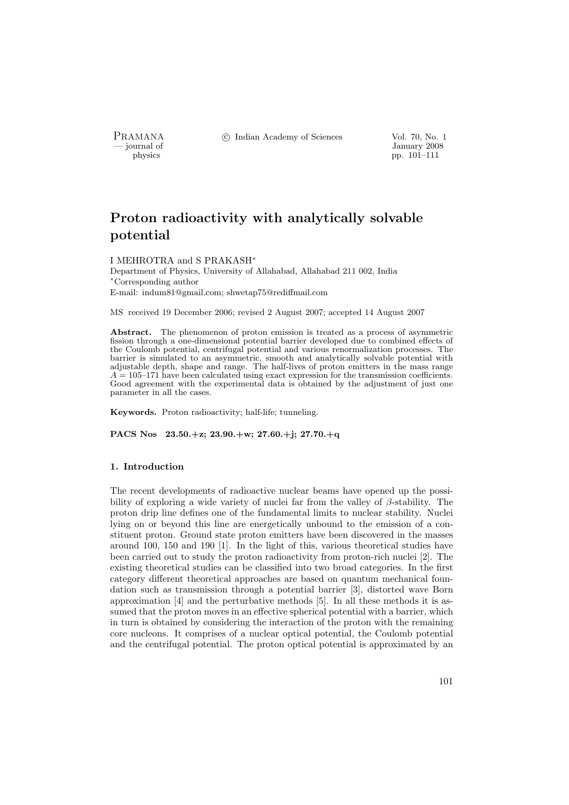PRAMANA <sup>6</sup> © Indian Academy of Sciences Vol. 70, No. 1<br>
— iournal of January 2008

physics and the set of the set of the set of the set of the set of the set of the set of the set of the set of the set of the set of the set of the set of the set of the set of the set of the set of the set of the set of t pp. 101–111

# Proton radioactivity with analytically solvable potential

#### I MEHROTRA and S PRAKASH<sup>∗</sup>

Department of Physics, University of Allahabad, Allahabad 211 002, India <sup>∗</sup>Corresponding author E-mail: indum81@gmail.com; shwetap75@rediffmail.com

MS received 19 December 2006; revised 2 August 2007; accepted 14 August 2007

Abstract. The phenomenon of proton emission is treated as a process of asymmetric fission through a one-dimensional potential barrier developed due to combined effects of the Coulomb potential, centrifugal potential and various renormalization processes. The barrier is simulated to an asymmetric, smooth and analytically solvable potential with adjustable depth, shape and range. The half-lives of proton emitters in the mass range  $A = 105-171$  have been calculated using exact expression for the transmission coefficients. Good agreement with the experimental data is obtained by the adjustment of just one parameter in all the cases.

Keywords. Proton radioactivity; half-life; tunneling.

PACS Nos 23.50.+z; 23.90.+w; 27.60.+j; 27.70.+q

#### 1. Introduction

The recent developments of radioactive nuclear beams have opened up the possibility of exploring a wide variety of nuclei far from the valley of  $\beta$ -stability. The proton drip line defines one of the fundamental limits to nuclear stability. Nuclei lying on or beyond this line are energetically unbound to the emission of a constituent proton. Ground state proton emitters have been discovered in the masses around 100, 150 and 190 [1]. In the light of this, various theoretical studies have been carried out to study the proton radioactivity from proton-rich nuclei [2]. The existing theoretical studies can be classified into two broad categories. In the first category different theoretical approaches are based on quantum mechanical foundation such as transmission through a potential barrier [3], distorted wave Born approximation [4] and the perturbative methods [5]. In all these methods it is assumed that the proton moves in an effective spherical potential with a barrier, which in turn is obtained by considering the interaction of the proton with the remaining core nucleons. It comprises of a nuclear optical potential, the Coulomb potential and the centrifugal potential. The proton optical potential is approximated by an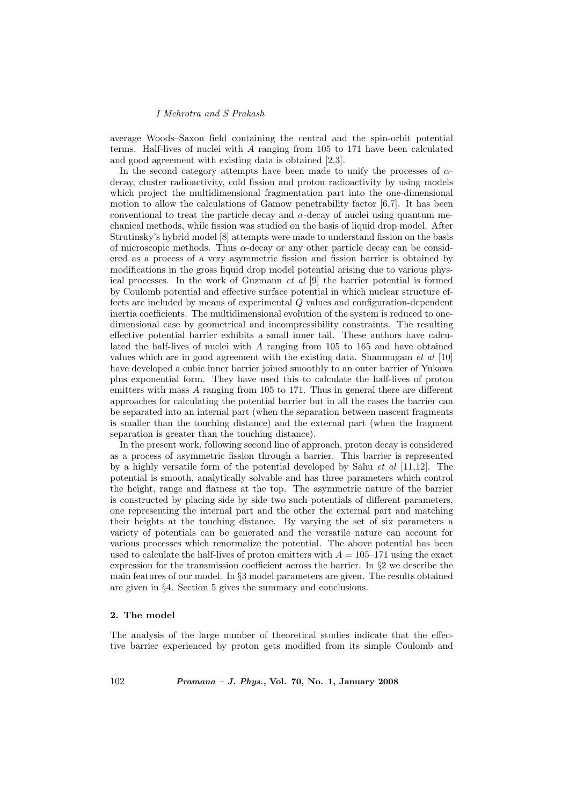average Woods–Saxon field containing the central and the spin-orbit potential terms. Half-lives of nuclei with A ranging from 105 to 171 have been calculated and good agreement with existing data is obtained [2,3].

In the second category attempts have been made to unify the processes of  $\alpha$ decay, cluster radioactivity, cold fission and proton radioactivity by using models which project the multidimensional fragmentation part into the one-dimensional motion to allow the calculations of Gamow penetrability factor [6,7]. It has been conventional to treat the particle decay and  $\alpha$ -decay of nuclei using quantum mechanical methods, while fission was studied on the basis of liquid drop model. After Strutinsky's hybrid model [8] attempts were made to understand fission on the basis of microscopic methods. Thus  $\alpha$ -decay or any other particle decay can be considered as a process of a very asymmetric fission and fission barrier is obtained by modifications in the gross liquid drop model potential arising due to various physical processes. In the work of Guzmann  $et \, al \, [9]$  the barrier potential is formed by Coulomb potential and effective surface potential in which nuclear structure effects are included by means of experimental Q values and configuration-dependent inertia coefficients. The multidimensional evolution of the system is reduced to onedimensional case by geometrical and incompressibility constraints. The resulting effective potential barrier exhibits a small inner tail. These authors have calculated the half-lives of nuclei with A ranging from 105 to 165 and have obtained values which are in good agreement with the existing data. Shanmugam et al [10] have developed a cubic inner barrier joined smoothly to an outer barrier of Yukawa plus exponential form. They have used this to calculate the half-lives of proton emitters with mass A ranging from 105 to 171. Thus in general there are different approaches for calculating the potential barrier but in all the cases the barrier can be separated into an internal part (when the separation between nascent fragments is smaller than the touching distance) and the external part (when the fragment separation is greater than the touching distance).

In the present work, following second line of approach, proton decay is considered as a process of asymmetric fission through a barrier. This barrier is represented by a highly versatile form of the potential developed by Sahu *et al* [11,12]. The potential is smooth, analytically solvable and has three parameters which control the height, range and flatness at the top. The asymmetric nature of the barrier is constructed by placing side by side two such potentials of different parameters, one representing the internal part and the other the external part and matching their heights at the touching distance. By varying the set of six parameters a variety of potentials can be generated and the versatile nature can account for various processes which renormalize the potential. The above potential has been used to calculate the half-lives of proton emitters with  $A = 105-171$  using the exact expression for the transmission coefficient across the barrier. In §2 we describe the main features of our model. In §3 model parameters are given. The results obtained are given in §4. Section 5 gives the summary and conclusions.

## 2. The model

The analysis of the large number of theoretical studies indicate that the effective barrier experienced by proton gets modified from its simple Coulomb and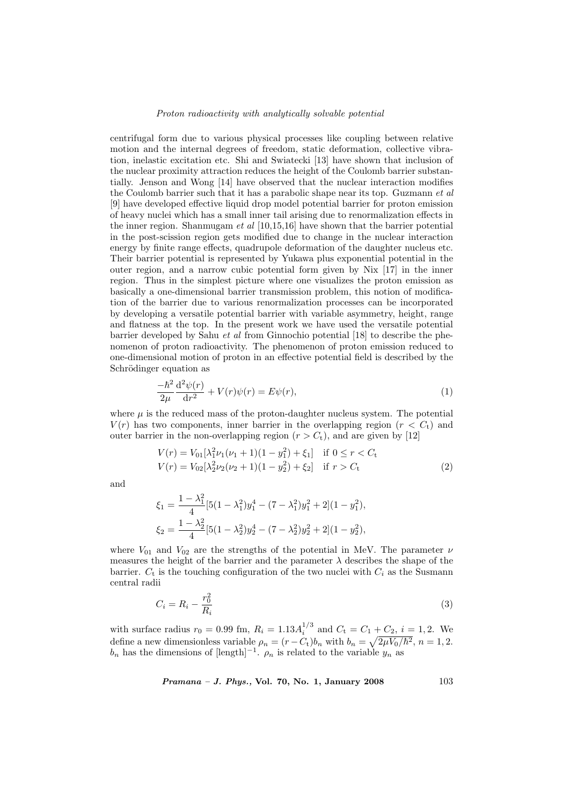#### Proton radioactivity with analytically solvable potential

centrifugal form due to various physical processes like coupling between relative motion and the internal degrees of freedom, static deformation, collective vibration, inelastic excitation etc. Shi and Swiatecki [13] have shown that inclusion of the nuclear proximity attraction reduces the height of the Coulomb barrier substantially. Jenson and Wong [14] have observed that the nuclear interaction modifies the Coulomb barrier such that it has a parabolic shape near its top. Guzmann et al [9] have developed effective liquid drop model potential barrier for proton emission of heavy nuclei which has a small inner tail arising due to renormalization effects in the inner region. Shanmugam *et al*  $[10,15,16]$  have shown that the barrier potential in the post-scission region gets modified due to change in the nuclear interaction energy by finite range effects, quadrupole deformation of the daughter nucleus etc. Their barrier potential is represented by Yukawa plus exponential potential in the outer region, and a narrow cubic potential form given by Nix [17] in the inner region. Thus in the simplest picture where one visualizes the proton emission as basically a one-dimensional barrier transmission problem, this notion of modification of the barrier due to various renormalization processes can be incorporated by developing a versatile potential barrier with variable asymmetry, height, range and flatness at the top. In the present work we have used the versatile potential barrier developed by Sahu et al from Ginnochio potential [18] to describe the phenomenon of proton radioactivity. The phenomenon of proton emission reduced to one-dimensional motion of proton in an effective potential field is described by the Schrödinger equation as

$$
\frac{-\hbar^2}{2\mu} \frac{\mathrm{d}^2 \psi(r)}{\mathrm{d}r^2} + V(r)\psi(r) = E\psi(r),\tag{1}
$$

where  $\mu$  is the reduced mass of the proton-daughter nucleus system. The potential  $V(r)$  has two components, inner barrier in the overlapping region  $(r < C<sub>t</sub>)$  and outer barrier in the non-overlapping region  $(r > C_t)$ , and are given by [12]

$$
V(r) = V_{01}[\lambda_1^2 \nu_1(\nu_1 + 1)(1 - y_1^2) + \xi_1] \text{ if } 0 \le r < C_t
$$
  
\n
$$
V(r) = V_{02}[\lambda_2^2 \nu_2(\nu_2 + 1)(1 - y_2^2) + \xi_2] \text{ if } r > C_t
$$
\n(2)

and

$$
\xi_1 = \frac{1 - \lambda_1^2}{4} [5(1 - \lambda_1^2)y_1^4 - (7 - \lambda_1^2)y_1^2 + 2](1 - y_1^2),
$$
  
\n
$$
\xi_2 = \frac{1 - \lambda_2^2}{4} [5(1 - \lambda_2^2)y_2^4 - (7 - \lambda_2^2)y_2^2 + 2](1 - y_2^2),
$$

where  $V_{01}$  and  $V_{02}$  are the strengths of the potential in MeV. The parameter  $\nu$ measures the height of the barrier and the parameter  $\lambda$  describes the shape of the barrier.  $C_t$  is the touching configuration of the two nuclei with  $C_i$  as the Susmann central radii

$$
C_i = R_i - \frac{r_0^2}{R_i} \tag{3}
$$

with surface radius  $r_0 = 0.99$  fm,  $R_i = 1.13 A_i^{1/3}$  and  $C_t = C_1 + C_2$ ,  $i = 1, 2$ . We define a new dimensionless variable  $\rho_n = (r - C_t)b_n$  with  $b_n = \sqrt{2\mu V_0/\hbar^2}$ ,  $n = 1, 2$ .  $b_n$  has the dimensions of [length]<sup>-1</sup>.  $\rho_n$  is related to the variable  $y_n$  as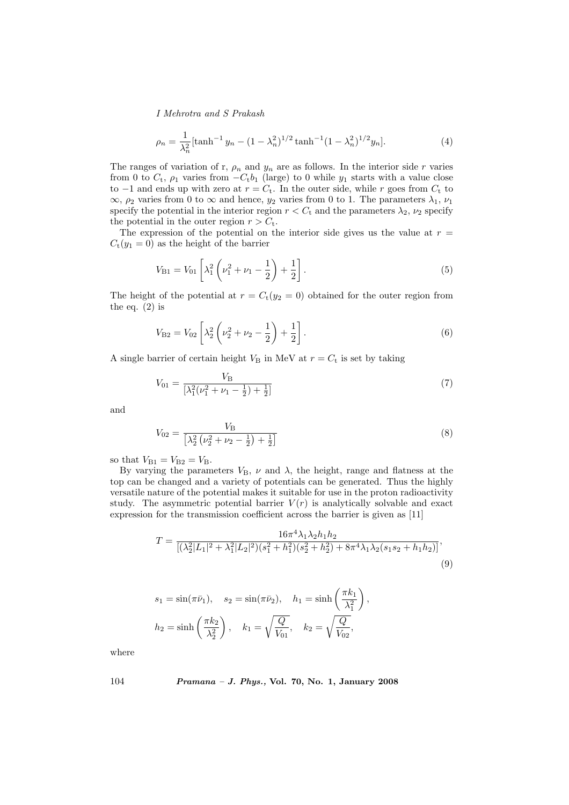$$
\rho_n = \frac{1}{\lambda_n^2} \left[ \tanh^{-1} y_n - (1 - \lambda_n^2)^{1/2} \tanh^{-1} (1 - \lambda_n^2)^{1/2} y_n \right]. \tag{4}
$$

The ranges of variation of r,  $\rho_n$  and  $y_n$  are as follows. In the interior side r varies from 0 to  $C_t$ ,  $\rho_1$  varies from  $-C_t b_1$  (large) to 0 while  $y_1$  starts with a value close to −1 and ends up with zero at  $r = C_t$ . In the outer side, while r goes from  $C_t$  to  $\infty$ ,  $\rho_2$  varies from 0 to  $\infty$  and hence,  $y_2$  varies from 0 to 1. The parameters  $\lambda_1$ ,  $\nu_1$ specify the potential in the interior region  $r < C_t$  and the parameters  $\lambda_2$ ,  $\nu_2$  specify the potential in the outer region  $r > C_t$ .

The expression of the potential on the interior side gives us the value at  $r =$  $C_t(y_1 = 0)$  as the height of the barrier

$$
V_{\rm B1} = V_{01} \left[ \lambda_1^2 \left( \nu_1^2 + \nu_1 - \frac{1}{2} \right) + \frac{1}{2} \right]. \tag{5}
$$

The height of the potential at  $r = C_t(y_2 = 0)$  obtained for the outer region from the eq.  $(2)$  is

$$
V_{\text{B2}} = V_{02} \left[ \lambda_2^2 \left( \nu_2^2 + \nu_2 - \frac{1}{2} \right) + \frac{1}{2} \right]. \tag{6}
$$

A single barrier of certain height  $V_{\rm B}$  in MeV at  $r = C_{\rm t}$  is set by taking

$$
V_{01} = \frac{V_{\rm B}}{\left[\lambda_1^2(\nu_1^2 + \nu_1 - \frac{1}{2}) + \frac{1}{2}\right]}
$$
\n(7)

and

$$
V_{02} = \frac{V_{\rm B}}{\left[\lambda_2^2 \left(\nu_2^2 + \nu_2 - \frac{1}{2}\right) + \frac{1}{2}\right]}
$$
\n(8)

so that  $V_{B1} = V_{B2} = V_B$ .

By varying the parameters  $V_{\text{B}}$ ,  $\nu$  and  $\lambda$ , the height, range and flatness at the top can be changed and a variety of potentials can be generated. Thus the highly versatile nature of the potential makes it suitable for use in the proton radioactivity study. The asymmetric potential barrier  $V(r)$  is analytically solvable and exact expression for the transmission coefficient across the barrier is given as [11]

$$
T = \frac{16\pi^4 \lambda_1 \lambda_2 h_1 h_2}{[(\lambda_2^2 |L_1|^2 + \lambda_1^2 |L_2|^2)(s_1^2 + h_1^2)(s_2^2 + h_2^2) + 8\pi^4 \lambda_1 \lambda_2 (s_1 s_2 + h_1 h_2)]},\tag{9}
$$

$$
s_1 = \sin(\pi \bar{\nu}_1), \quad s_2 = \sin(\pi \bar{\nu}_2), \quad h_1 = \sinh\left(\frac{\pi k_1}{\lambda_1^2}\right), h_2 = \sinh\left(\frac{\pi k_2}{\lambda_2^2}\right), \quad k_1 = \sqrt{\frac{Q}{V_{01}}}, \quad k_2 = \sqrt{\frac{Q}{V_{02}}},
$$

where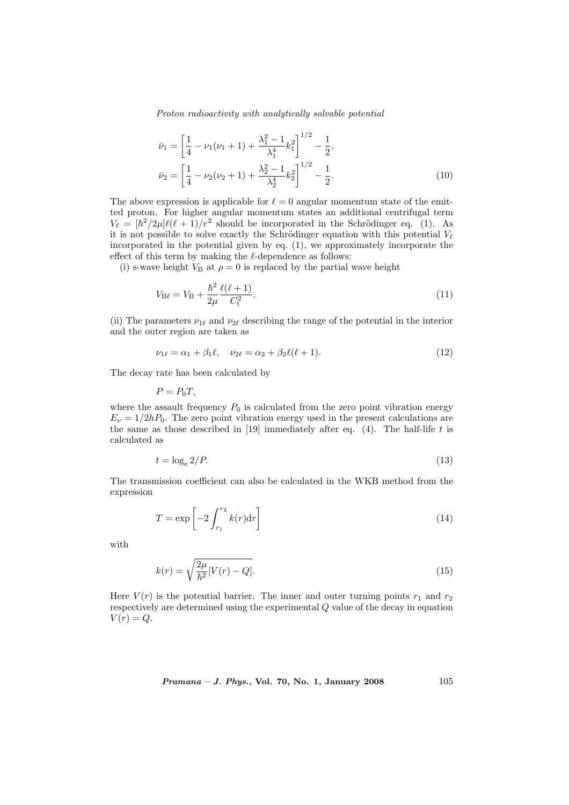Proton radioactivity with analytically solvable potential

$$
\bar{\nu}_1 = \left[\frac{1}{4} - \nu_1(\nu_1 + 1) + \frac{\lambda_1^2 - 1}{\lambda_1^4} k_1^2\right]^{1/2} - \frac{1}{2},
$$
  
\n
$$
\bar{\nu}_2 = \left[\frac{1}{4} - \nu_2(\nu_2 + 1) + \frac{\lambda_2^2 - 1}{\lambda_2^4} k_2^2\right]^{1/2} - \frac{1}{2}.
$$
\n(10)

The above expression is applicable for  $\ell = 0$  angular momentum state of the emitted proton. For higher angular momentum states an additional centrifugal term  $V_{\ell} = [\hbar^2/2\mu]\ell(\ell+1)/r^2$  should be incorporated in the Schrödinger eq. (1). As it is not possible to solve exactly the Schrödinger equation with this potential  $V_{\ell}$ incorporated in the potential given by eq. (1), we approximately incorporate the effect of this term by making the  $\ell$ -dependence as follows:

(i) s-wave height  $V_{\rm B}$  at  $\rho = 0$  is replaced by the partial wave height

$$
V_{\rm B\ell} = V_{\rm B} + \frac{\hbar^2}{2\mu} \frac{\ell(\ell+1)}{C_{\rm t}^2}.
$$
\n(11)

(ii) The parameters  $\nu_{1\ell}$  and  $\nu_{2\ell}$  describing the range of the potential in the interior and the outer region are taken as

$$
\nu_{1\ell} = \alpha_1 + \beta_1 \ell, \quad \nu_{2\ell} = \alpha_2 + \beta_2 \ell (\ell + 1). \tag{12}
$$

The decay rate has been calculated by

$$
P = P_0 T,
$$

where the assault frequency  $P_0$  is calculated from the zero point vibration energy  $E_{\nu} = 1/2hP_0$ . The zero point vibration energy used in the present calculations are the same as those described in [19] immediately after eq.  $(4)$ . The half-life t is calculated as

$$
t = \log_e 2/P.
$$
\n<sup>(13)</sup>

The transmission coefficient can also be calculated in the WKB method from the expression

$$
T = \exp\left[-2\int_{r_1}^{r_2} k(r)dr\right]
$$
\n(14)

with

$$
k(r) = \sqrt{\frac{2\mu}{\hbar^2} [V(r) - Q]}.
$$
\n(15)

Here  $V(r)$  is the potential barrier. The inner and outer turning points  $r_1$  and  $r_2$ respectively are determined using the experimental Q value of the decay in equation  $V(r) = Q.$ 

*Pramana - J. Phys.*, Vol. 70, No. 1, January 2008 
$$
105
$$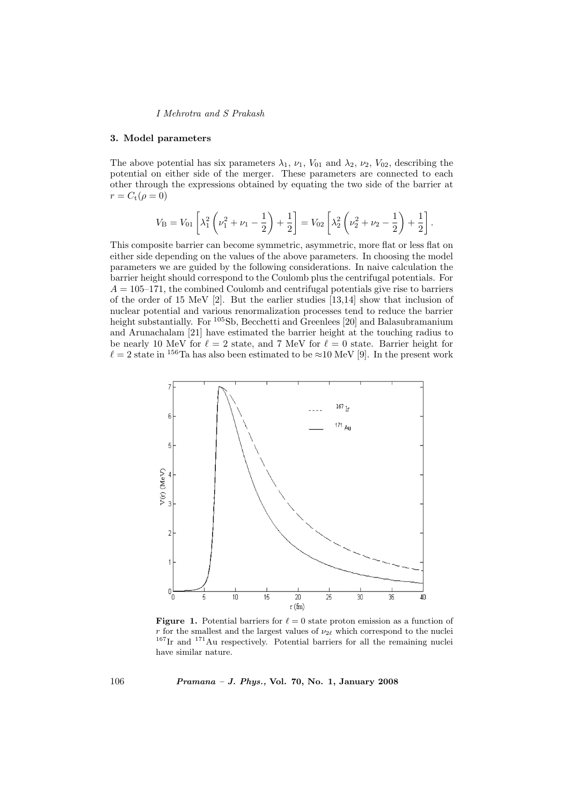#### 3. Model parameters

The above potential has six parameters  $\lambda_1$ ,  $\nu_1$ ,  $V_{01}$  and  $\lambda_2$ ,  $\nu_2$ ,  $V_{02}$ , describing the potential on either side of the merger. These parameters are connected to each other through the expressions obtained by equating the two side of the barrier at  $r = C_{t}(\rho = 0)$ 

$$
V_{\rm B} = V_{01} \left[ \lambda_1^2 \left( \nu_1^2 + \nu_1 - \frac{1}{2} \right) + \frac{1}{2} \right] = V_{02} \left[ \lambda_2^2 \left( \nu_2^2 + \nu_2 - \frac{1}{2} \right) + \frac{1}{2} \right].
$$

This composite barrier can become symmetric, asymmetric, more flat or less flat on either side depending on the values of the above parameters. In choosing the model parameters we are guided by the following considerations. In naive calculation the barrier height should correspond to the Coulomb plus the centrifugal potentials. For  $A = 105-171$ , the combined Coulomb and centrifugal potentials give rise to barriers of the order of 15 MeV [2]. But the earlier studies [13,14] show that inclusion of nuclear potential and various renormalization processes tend to reduce the barrier height substantially. For <sup>105</sup>Sb, Becchetti and Greenlees [20] and Balasubramanium and Arunachalam [21] have estimated the barrier height at the touching radius to be nearly 10 MeV for  $\ell = 2$  state, and 7 MeV for  $\ell = 0$  state. Barrier height for  $\ell = 2$  state in <sup>156</sup>Ta has also been estimated to be ≈10 MeV [9]. In the present work



**Figure 1.** Potential barriers for  $\ell = 0$  state proton emission as a function of r for the smallest and the largest values of  $\nu_{2\ell}$  which correspond to the nuclei  $167$ Ir and  $171$ Au respectively. Potential barriers for all the remaining nuclei have similar nature.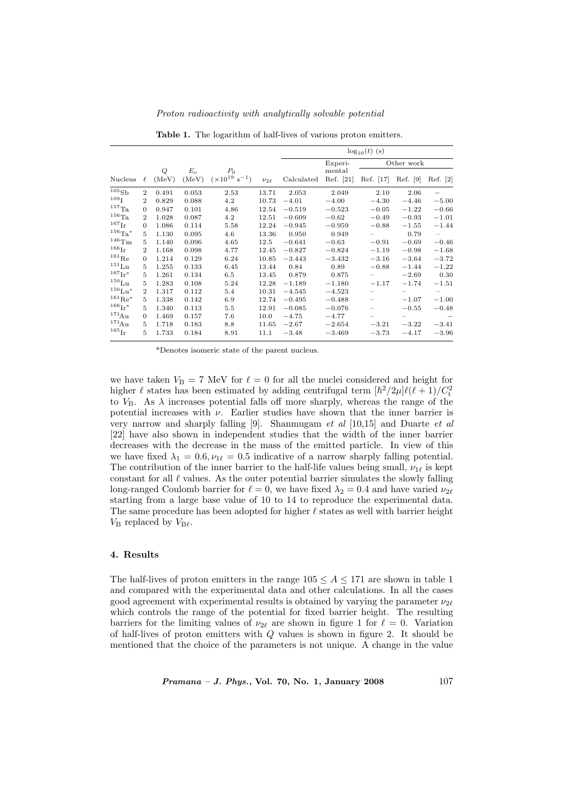|                          |                |            |                    |                                            |               | $\log_{10}(t)$ (s) |                     |           |            |          |
|--------------------------|----------------|------------|--------------------|--------------------------------------------|---------------|--------------------|---------------------|-----------|------------|----------|
|                          |                |            |                    |                                            |               |                    | Experi-             |           | Other work |          |
| Nucleus                  | $\ell$         | Q<br>(MeV) | $E_{\nu}$<br>(MeV) | $P_0$<br>$(\times 10^{19} \text{ s}^{-1})$ | $\nu_{2\ell}$ | Calculated         | mental<br>Ref. [21] | Ref. [17] | Ref. [9]   | Ref. [2] |
| 105S <sub>b</sub>        | $\overline{2}$ | 0.491      | 0.053              | 2.53                                       | 13.71         | 2.053              | 2.049               | 2.10      | 2.06       |          |
| 109 <sub>T</sub>         | $\overline{2}$ | 0.829      | 0.088              | 4.2                                        | 10.73         | $-4.01$            | $-4.00$             | $-4.30$   | $-4.46$    | $-5.00$  |
| $^{157}$ Ta              | $\Omega$       | 0.947      | 0.101              | 4.86                                       | 12.54         | $-0.519$           | $-0.523$            | $-0.05$   | $-1.22$    | $-0.66$  |
| $156\text{Ta}$           | $\overline{2}$ | 1.028      | 0.087              | 4.2                                        | 12.51         | $-0.609$           | $-0.62$             | $-0.49$   | $-0.93$    | $-1.01$  |
| $^{167}\mathrm{Ir}$      | $\Omega$       | 1.086      | 0.114              | 5.58                                       | 12.24         | $-0.945$           | $-0.959$            | $-0.88$   | $-1.55$    | $-1.44$  |
| $^{156}$ Ta <sup>*</sup> | 5              | 1.130      | 0.095              | 4.6                                        | 13.36         | 0.950              | 0.949               |           | 0.79       | $ \,$    |
| $146$ Tm                 | 5              | 1.140      | 0.096              | 4.65                                       | 12.5          | $-0.641$           | $-0.63$             | $-0.91$   | $-0.69$    | $-0.46$  |
| $166$ <sub>Ir</sub>      | $\overline{2}$ | 1.168      | 0.098              | 4.77                                       | 12.45         | $-0.827$           | $-0.824$            | $-1.19$   | $-0.98$    | $-1.68$  |
| $^{161}$ Re              | $\overline{0}$ | 1.214      | 0.129              | 6.24                                       | 10.85         | $-3.443$           | $-3.432$            | $-3.16$   | $-3.64$    | $-3.72$  |
| $151$ Lu                 | 5              | 1.255      | 0.133              | 6.45                                       | 13.44         | 0.84               | 0.89                | $-0.88$   | $-1.44$    | $-1.22$  |
| $^{167}\mathrm{Ir}^*$    | 5              | 1.261      | 0.134              | $6.5\,$                                    | 13.45         | 0.879              | 0.875               |           | $-2.69$    | 0.30     |
| $150$ $L_{11}$           | 5              | 1.283      | 0.108              | 5.24                                       | 12.28         | $-1.189$           | $-1.180$            | $-1.17$   | $-1.74$    | $-1.51$  |
| $150$ $\text{Li}^{*}$    | $\overline{2}$ | 1.317      | 0.112              | 5.4                                        | 10.31         | $-4.545$           | $-4.523$            |           |            | $-$      |
| $^{161}$ Re <sup>*</sup> | 5              | 1.338      | 0.142              | 6.9                                        | 12.74         | $-0.495$           | $-0.488$            |           | $-1.07$    | $-1.00$  |
| $166$ <sub>Ir</sub> *    | 5.             | 1.340      | 0.113              | 5.5                                        | 12.91         | $-0.085$           | $-0.076$            |           | $-0.55$    | $-0.48$  |
| $^{171}$ Au              | $\Omega$       | 1.469      | 0.157              | 7.6                                        | 10.0          | $-4.75$            | $-4.77$             |           |            |          |
| $^{171}$ A <sub>11</sub> | 5              | 1.718      | 0.183              | 8.8                                        | 11.65         | $-2.67$            | $-2.654$            | $-3.21$   | $-3.22$    | $-3.41$  |
| $^{165}\mathrm{Ir}$      | 5              | 1.733      | 0.184              | 8.91                                       | 11.1          | $-3.48$            | $-3.469$            | $-3.73$   | $-4.17$    | $-3.96$  |

Proton radioactivity with analytically solvable potential

Table 1. The logarithm of half-lives of various proton emitters.

\*Denotes isomeric state of the parent nucleus.

we have taken  $V_B = 7$  MeV for  $\ell = 0$  for all the nuclei considered and height for higher  $\ell$  states has been estimated by adding centrifugal term  $[\hbar^2/2\mu]\ell(\ell+1)/C_t^2$ to  $V_{\rm B}$ . As  $\lambda$  increases potential falls off more sharply, whereas the range of the potential increases with  $\nu$ . Earlier studies have shown that the inner barrier is very narrow and sharply falling [9]. Shanmugam et al [10,15] and Duarte et al [22] have also shown in independent studies that the width of the inner barrier decreases with the decrease in the mass of the emitted particle. In view of this we have fixed  $\lambda_1 = 0.6, \nu_{1\ell} = 0.5$  indicative of a narrow sharply falling potential. The contribution of the inner barrier to the half-life values being small,  $\nu_{1\ell}$  is kept constant for all  $\ell$  values. As the outer potential barrier simulates the slowly falling long-ranged Coulomb barrier for  $\ell = 0$ , we have fixed  $\lambda_2 = 0.4$  and have varied  $\nu_{2\ell}$ starting from a large base value of 10 to 14 to reproduce the experimental data. The same procedure has been adopted for higher  $\ell$  states as well with barrier height  $V_{\rm B}$  replaced by  $V_{\rm B\ell}$ .

#### 4. Results

The half-lives of proton emitters in the range  $105 \leq A \leq 171$  are shown in table 1 and compared with the experimental data and other calculations. In all the cases good agreement with experimental results is obtained by varying the parameter  $\nu_{2\ell}$ which controls the range of the potential for fixed barrier height. The resulting barriers for the limiting values of  $\nu_{2\ell}$  are shown in figure 1 for  $\ell = 0$ . Variation of half-lives of proton emitters with Q values is shown in figure 2. It should be mentioned that the choice of the parameters is not unique. A change in the value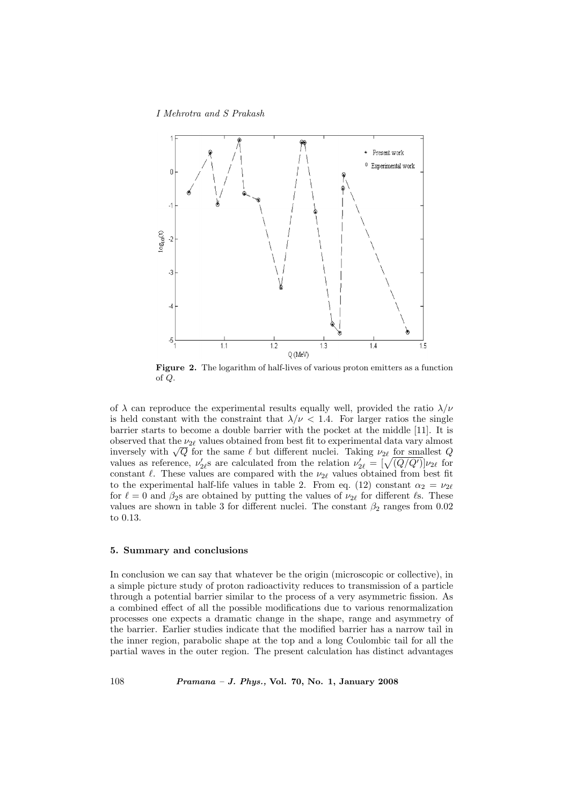I Mehrotra and S Prakash



Figure 2. The logarithm of half-lives of various proton emitters as a function of Q.

of  $\lambda$  can reproduce the experimental results equally well, provided the ratio  $\lambda/\nu$ is held constant with the constraint that  $\lambda/\nu < 1.4$ . For larger ratios the single barrier starts to become a double barrier with the pocket at the middle [11]. It is observed that the  $\nu_{2\ell}$  values obtained from best fit to experimental data vary almost observed that the  $\nu_{2\ell}$  values obtained from best in to experimental data vary almost<br>inversely with  $\sqrt{Q}$  for the same  $\ell$  but different nuclei. Taking  $\nu_{2\ell}$  for smallest  $Q$ inversely with  $\sqrt{Q}$  for the same  $\ell$  but different nuclei. Taking  $\nu_{2\ell}$  for smallest  $Q$  values as reference,  $\nu'_{2\ell}$  sare calculated from the relation  $\nu'_{2\ell} = [\sqrt{(Q/Q')}] \nu_{2\ell}$  for constant  $\ell$ . These values are compared with the  $\nu_{2\ell}$  values obtained from best fit to the experimental half-life values in table 2. From eq. (12) constant  $\alpha_2 = \nu_{2\ell}$ for  $\ell = 0$  and  $\beta_2$ s are obtained by putting the values of  $\nu_{2\ell}$  for different  $\ell$ s. These values are shown in table 3 for different nuclei. The constant  $\beta_2$  ranges from 0.02 to 0.13.

#### 5. Summary and conclusions

In conclusion we can say that whatever be the origin (microscopic or collective), in a simple picture study of proton radioactivity reduces to transmission of a particle through a potential barrier similar to the process of a very asymmetric fission. As a combined effect of all the possible modifications due to various renormalization processes one expects a dramatic change in the shape, range and asymmetry of the barrier. Earlier studies indicate that the modified barrier has a narrow tail in the inner region, parabolic shape at the top and a long Coulombic tail for all the partial waves in the outer region. The present calculation has distinct advantages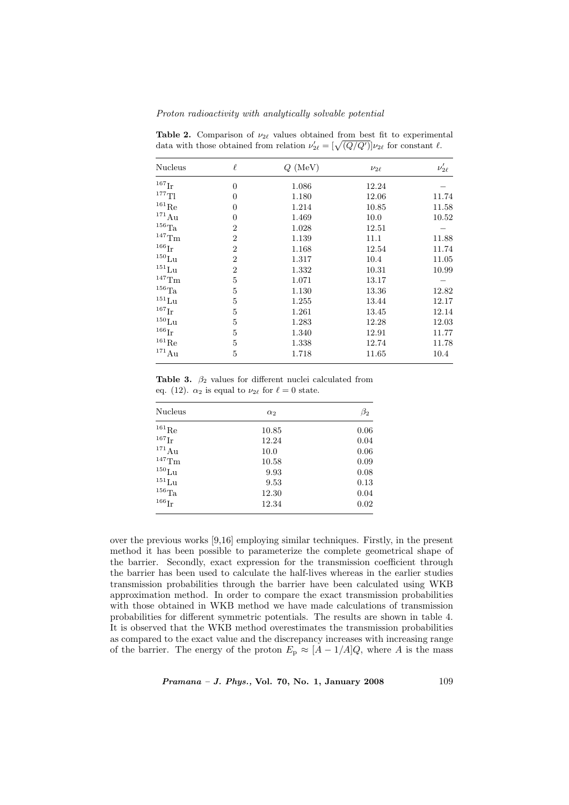Proton radioactivity with analytically solvable potential

| <b>Nucleus</b>      | $\ell$         | $Q$ (MeV) | $\nu_{2\ell}$ | $\nu'_{2\ell}$ |
|---------------------|----------------|-----------|---------------|----------------|
| $167$ Ir            | $\overline{0}$ | 1.086     | 12.24         |                |
| $^{177}\mathrm{Tl}$ | 0              | 1.180     | 12.06         | 11.74          |
| $^{161}\mathrm{Re}$ | 0              | 1.214     | 10.85         | 11.58          |
| $^{171}\mathrm{Au}$ | $\theta$       | 1.469     | 10.0          | 10.52          |
| $^{156}\mathrm{Ta}$ | $\overline{2}$ | 1.028     | 12.51         |                |
| $^{147}\mathrm{Tm}$ | $\overline{2}$ | 1.139     | 11.1          | 11.88          |
| $^{166}\mathrm{Ir}$ | $\overline{2}$ | 1.168     | 12.54         | 11.74          |
| $^{150}\mathrm{Lu}$ | $\overline{2}$ | 1.317     | 10.4          | 11.05          |
| $^{151}\mathrm{Lu}$ | $\overline{2}$ | 1.332     | 10.31         | 10.99          |
| $^{147}\mathrm{Tm}$ | 5              | 1.071     | 13.17         |                |
| $^{156}\mathrm{Ta}$ | 5              | 1.130     | 13.36         | 12.82          |
| $^{151}\mathrm{Lu}$ | $\overline{5}$ | 1.255     | 13.44         | 12.17          |
| $^{167}\mathrm{Ir}$ | 5              | 1.261     | 13.45         | 12.14          |
| $^{150}\mathrm{Lu}$ | 5              | 1.283     | 12.28         | 12.03          |
| $166$ <sub>Ir</sub> | 5              | 1.340     | 12.91         | 11.77          |
| $^{161}\mathrm{Re}$ | 5              | 1.338     | 12.74         | 11.78          |
| $^{171}\mathrm{Au}$ | 5              | 1.718     | 11.65         | 10.4           |

Table 2. Comparison of  $\nu_{2\ell}$  values obtained from best fit to experimental **Table 2.** Comparison of  $\nu_{2\ell}$  values obtained from best fit to experiment data with those obtained from relation  $\nu'_{2\ell} = [\sqrt{(Q/Q')}] \nu_{2\ell}$  for constant  $\ell$ .

Table 3.  $\beta_2$  values for different nuclei calculated from eq. (12).  $\alpha_2$  is equal to  $\nu_{2\ell}$  for  $\ell = 0$  state.

| Nucleus             | $\alpha_2$ | $\beta_2$ |
|---------------------|------------|-----------|
| $^{161}{\rm Re}$    | 10.85      | 0.06      |
| $^{167}\mathrm{Ir}$ | 12.24      | 0.04      |
| $^{171}\mathrm{Au}$ | 10.0       | 0.06      |
| $^{147}$ Tm         | 10.58      | 0.09      |
| $^{150}\mathrm{Lu}$ | 9.93       | 0.08      |
| $^{151}\mathrm{Lu}$ | 9.53       | 0.13      |
| $^{156}\mathrm{Ta}$ | 12.30      | 0.04      |
| $^{166}\mathrm{Ir}$ | 12.34      | 0.02      |
|                     |            |           |

over the previous works [9,16] employing similar techniques. Firstly, in the present method it has been possible to parameterize the complete geometrical shape of the barrier. Secondly, exact expression for the transmission coefficient through the barrier has been used to calculate the half-lives whereas in the earlier studies transmission probabilities through the barrier have been calculated using WKB approximation method. In order to compare the exact transmission probabilities with those obtained in WKB method we have made calculations of transmission probabilities for different symmetric potentials. The results are shown in table 4. It is observed that the WKB method overestimates the transmission probabilities as compared to the exact value and the discrepancy increases with increasing range of the barrier. The energy of the proton  $E_p \approx [A - 1/A]Q$ , where A is the mass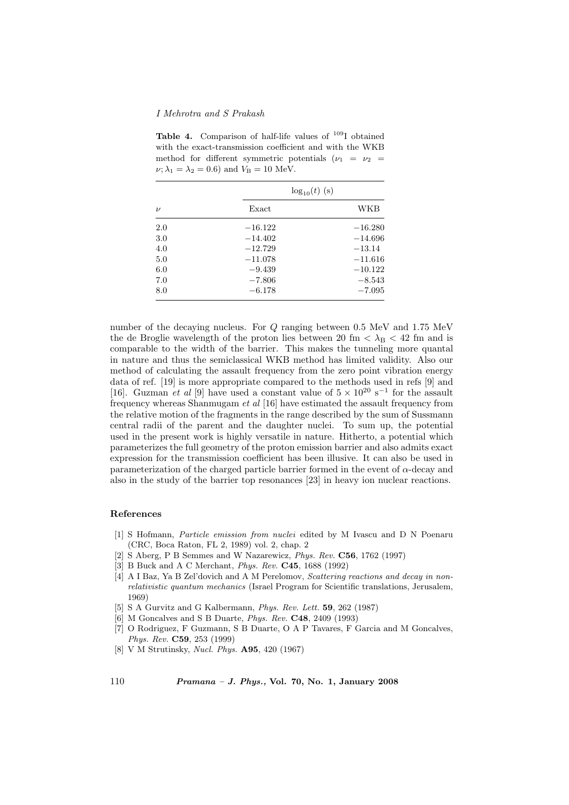Table 4. Comparison of half-life values of  $109$ I obtained with the exact-transmission coefficient and with the WKB method for different symmetric potentials  $(\nu_1 = \nu_2$  $\nu; \lambda_1 = \lambda_2 = 0.6$ ) and  $V_B = 10$  MeV.

| $\log_{10}(t)$ (s) |           |  |
|--------------------|-----------|--|
| Exact              | WKB       |  |
| $-16.122$          | $-16.280$ |  |
| $-14.402$          | $-14.696$ |  |
| $-12.729$          | $-13.14$  |  |
| $-11.078$          | $-11.616$ |  |
| $-9.439$           | $-10.122$ |  |
| $-7.806$           | $-8.543$  |  |
| $-6.178$           | $-7.095$  |  |
|                    |           |  |

number of the decaying nucleus. For Q ranging between 0.5 MeV and 1.75 MeV the de Broglie wavelength of the proton lies between 20 fm  $< \lambda_{\rm B} < 42$  fm and is comparable to the width of the barrier. This makes the tunneling more quantal in nature and thus the semiclassical WKB method has limited validity. Also our method of calculating the assault frequency from the zero point vibration energy data of ref. [19] is more appropriate compared to the methods used in refs [9] and [16]. Guzman et al [9] have used a constant value of  $5 \times 10^{20}$  s<sup>-1</sup> for the assault frequency whereas Shanmugam et al [16] have estimated the assault frequency from the relative motion of the fragments in the range described by the sum of Sussmann central radii of the parent and the daughter nuclei. To sum up, the potential used in the present work is highly versatile in nature. Hitherto, a potential which parameterizes the full geometry of the proton emission barrier and also admits exact expression for the transmission coefficient has been illusive. It can also be used in parameterization of the charged particle barrier formed in the event of  $\alpha$ -decay and also in the study of the barrier top resonances [23] in heavy ion nuclear reactions.

#### References

- [1] S Hofmann, Particle emission from nuclei edited by M Ivascu and D N Poenaru (CRC, Boca Raton, FL 2, 1989) vol. 2, chap. 2
- [2] S Aberg, P B Semmes and W Nazarewicz, Phys. Rev. C56, 1762 (1997)
- [3] B Buck and A C Merchant, Phys. Rev. C45, 1688 (1992)
- [4] A I Baz, Ya B Zel'dovich and A M Perelomov, Scattering reactions and decay in nonrelativistic quantum mechanics (Israel Program for Scientific translations, Jerusalem, 1969)
- [5] S A Gurvitz and G Kalbermann, *Phys. Rev. Lett.* **59**, 262 (1987)
- [6] M Goncalves and S B Duarte, Phys. Rev. C48, 2409 (1993)
- [7] O Rodriguez, F Guzmann, S B Duarte, O A P Tavares, F Garcia and M Goncalves, Phys. Rev. C59, 253 (1999)
- [8] V M Strutinsky, Nucl. Phys. A95, 420 (1967)